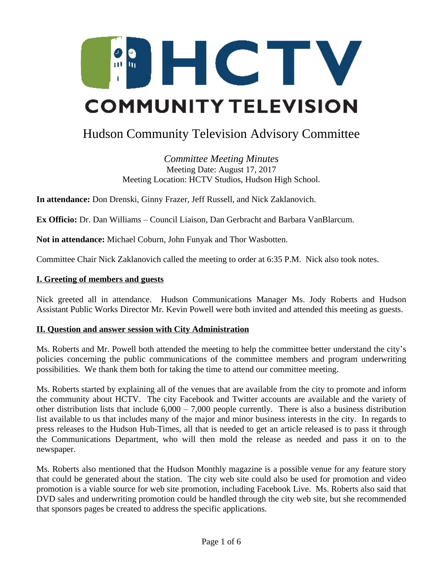

# Hudson Community Television Advisory Committee

*Committee Meeting Minutes* Meeting Date: August 17, 2017 Meeting Location: HCTV Studios, Hudson High School.

**In attendance:** Don Drenski, Ginny Frazer, Jeff Russell, and Nick Zaklanovich.

**Ex Officio:** Dr. Dan Williams – Council Liaison, Dan Gerbracht and Barbara VanBlarcum.

**Not in attendance:** Michael Coburn, John Funyak and Thor Wasbotten.

Committee Chair Nick Zaklanovich called the meeting to order at 6:35 P.M. Nick also took notes.

# **I. Greeting of members and guests**

Nick greeted all in attendance. Hudson Communications Manager Ms. Jody Roberts and Hudson Assistant Public Works Director Mr. Kevin Powell were both invited and attended this meeting as guests.

# **II. Question and answer session with City Administration**

Ms. Roberts and Mr. Powell both attended the meeting to help the committee better understand the city's policies concerning the public communications of the committee members and program underwriting possibilities. We thank them both for taking the time to attend our committee meeting.

Ms. Roberts started by explaining all of the venues that are available from the city to promote and inform the community about HCTV. The city Facebook and Twitter accounts are available and the variety of other distribution lists that include 6,000 – 7,000 people currently. There is also a business distribution list available to us that includes many of the major and minor business interests in the city. In regards to press releases to the Hudson Hub-Times, all that is needed to get an article released is to pass it through the Communications Department, who will then mold the release as needed and pass it on to the newspaper.

Ms. Roberts also mentioned that the Hudson Monthly magazine is a possible venue for any feature story that could be generated about the station. The city web site could also be used for promotion and video promotion is a viable source for web site promotion, including Facebook Live. Ms. Roberts also said that DVD sales and underwriting promotion could be handled through the city web site, but she recommended that sponsors pages be created to address the specific applications.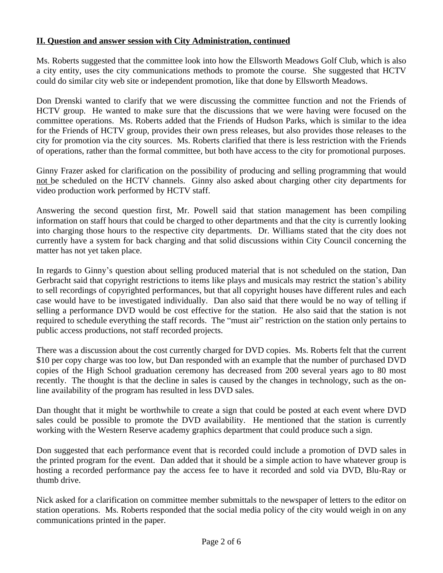## **II. Question and answer session with City Administration, continued**

Ms. Roberts suggested that the committee look into how the Ellsworth Meadows Golf Club, which is also a city entity, uses the city communications methods to promote the course. She suggested that HCTV could do similar city web site or independent promotion, like that done by Ellsworth Meadows.

Don Drenski wanted to clarify that we were discussing the committee function and not the Friends of HCTV group. He wanted to make sure that the discussions that we were having were focused on the committee operations. Ms. Roberts added that the Friends of Hudson Parks, which is similar to the idea for the Friends of HCTV group, provides their own press releases, but also provides those releases to the city for promotion via the city sources. Ms. Roberts clarified that there is less restriction with the Friends of operations, rather than the formal committee, but both have access to the city for promotional purposes.

Ginny Frazer asked for clarification on the possibility of producing and selling programming that would not be scheduled on the HCTV channels. Ginny also asked about charging other city departments for video production work performed by HCTV staff.

Answering the second question first, Mr. Powell said that station management has been compiling information on staff hours that could be charged to other departments and that the city is currently looking into charging those hours to the respective city departments. Dr. Williams stated that the city does not currently have a system for back charging and that solid discussions within City Council concerning the matter has not yet taken place.

In regards to Ginny's question about selling produced material that is not scheduled on the station, Dan Gerbracht said that copyright restrictions to items like plays and musicals may restrict the station's ability to sell recordings of copyrighted performances, but that all copyright houses have different rules and each case would have to be investigated individually. Dan also said that there would be no way of telling if selling a performance DVD would be cost effective for the station. He also said that the station is not required to schedule everything the staff records. The "must air" restriction on the station only pertains to public access productions, not staff recorded projects.

There was a discussion about the cost currently charged for DVD copies. Ms. Roberts felt that the current \$10 per copy charge was too low, but Dan responded with an example that the number of purchased DVD copies of the High School graduation ceremony has decreased from 200 several years ago to 80 most recently. The thought is that the decline in sales is caused by the changes in technology, such as the online availability of the program has resulted in less DVD sales.

Dan thought that it might be worthwhile to create a sign that could be posted at each event where DVD sales could be possible to promote the DVD availability. He mentioned that the station is currently working with the Western Reserve academy graphics department that could produce such a sign.

Don suggested that each performance event that is recorded could include a promotion of DVD sales in the printed program for the event. Dan added that it should be a simple action to have whatever group is hosting a recorded performance pay the access fee to have it recorded and sold via DVD, Blu-Ray or thumb drive.

Nick asked for a clarification on committee member submittals to the newspaper of letters to the editor on station operations. Ms. Roberts responded that the social media policy of the city would weigh in on any communications printed in the paper.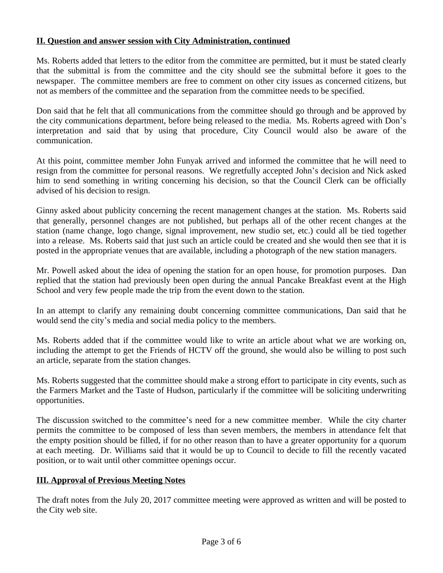# **II. Question and answer session with City Administration, continued**

Ms. Roberts added that letters to the editor from the committee are permitted, but it must be stated clearly that the submittal is from the committee and the city should see the submittal before it goes to the newspaper. The committee members are free to comment on other city issues as concerned citizens, but not as members of the committee and the separation from the committee needs to be specified.

Don said that he felt that all communications from the committee should go through and be approved by the city communications department, before being released to the media. Ms. Roberts agreed with Don's interpretation and said that by using that procedure, City Council would also be aware of the communication.

At this point, committee member John Funyak arrived and informed the committee that he will need to resign from the committee for personal reasons. We regretfully accepted John's decision and Nick asked him to send something in writing concerning his decision, so that the Council Clerk can be officially advised of his decision to resign.

Ginny asked about publicity concerning the recent management changes at the station. Ms. Roberts said that generally, personnel changes are not published, but perhaps all of the other recent changes at the station (name change, logo change, signal improvement, new studio set, etc.) could all be tied together into a release. Ms. Roberts said that just such an article could be created and she would then see that it is posted in the appropriate venues that are available, including a photograph of the new station managers.

Mr. Powell asked about the idea of opening the station for an open house, for promotion purposes. Dan replied that the station had previously been open during the annual Pancake Breakfast event at the High School and very few people made the trip from the event down to the station.

In an attempt to clarify any remaining doubt concerning committee communications, Dan said that he would send the city's media and social media policy to the members.

Ms. Roberts added that if the committee would like to write an article about what we are working on, including the attempt to get the Friends of HCTV off the ground, she would also be willing to post such an article, separate from the station changes.

Ms. Roberts suggested that the committee should make a strong effort to participate in city events, such as the Farmers Market and the Taste of Hudson, particularly if the committee will be soliciting underwriting opportunities.

The discussion switched to the committee's need for a new committee member. While the city charter permits the committee to be composed of less than seven members, the members in attendance felt that the empty position should be filled, if for no other reason than to have a greater opportunity for a quorum at each meeting. Dr. Williams said that it would be up to Council to decide to fill the recently vacated position, or to wait until other committee openings occur.

# **III. Approval of Previous Meeting Notes**

The draft notes from the July 20, 2017 committee meeting were approved as written and will be posted to the City web site.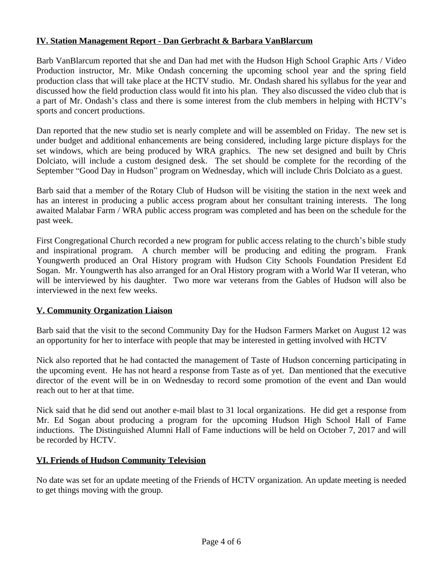# **IV. Station Management Report - Dan Gerbracht & Barbara VanBlarcum**

Barb VanBlarcum reported that she and Dan had met with the Hudson High School Graphic Arts / Video Production instructor, Mr. Mike Ondash concerning the upcoming school year and the spring field production class that will take place at the HCTV studio. Mr. Ondash shared his syllabus for the year and discussed how the field production class would fit into his plan. They also discussed the video club that is a part of Mr. Ondash's class and there is some interest from the club members in helping with HCTV's sports and concert productions.

Dan reported that the new studio set is nearly complete and will be assembled on Friday. The new set is under budget and additional enhancements are being considered, including large picture displays for the set windows, which are being produced by WRA graphics. The new set designed and built by Chris Dolciato, will include a custom designed desk. The set should be complete for the recording of the September "Good Day in Hudson" program on Wednesday, which will include Chris Dolciato as a guest.

Barb said that a member of the Rotary Club of Hudson will be visiting the station in the next week and has an interest in producing a public access program about her consultant training interests. The long awaited Malabar Farm / WRA public access program was completed and has been on the schedule for the past week.

First Congregational Church recorded a new program for public access relating to the church's bible study and inspirational program. A church member will be producing and editing the program. Frank Youngwerth produced an Oral History program with Hudson City Schools Foundation President Ed Sogan. Mr. Youngwerth has also arranged for an Oral History program with a World War II veteran, who will be interviewed by his daughter. Two more war veterans from the Gables of Hudson will also be interviewed in the next few weeks.

# **V. Community Organization Liaison**

Barb said that the visit to the second Community Day for the Hudson Farmers Market on August 12 was an opportunity for her to interface with people that may be interested in getting involved with HCTV

Nick also reported that he had contacted the management of Taste of Hudson concerning participating in the upcoming event. He has not heard a response from Taste as of yet. Dan mentioned that the executive director of the event will be in on Wednesday to record some promotion of the event and Dan would reach out to her at that time.

Nick said that he did send out another e-mail blast to 31 local organizations. He did get a response from Mr. Ed Sogan about producing a program for the upcoming Hudson High School Hall of Fame inductions. The Distinguished Alumni Hall of Fame inductions will be held on October 7, 2017 and will be recorded by HCTV.

# **VI. Friends of Hudson Community Television**

No date was set for an update meeting of the Friends of HCTV organization. An update meeting is needed to get things moving with the group.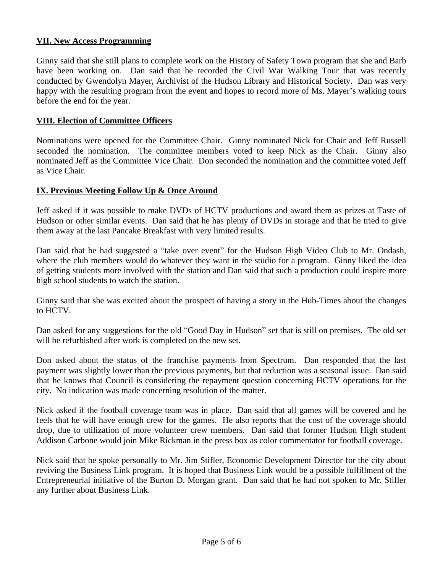## **VII. New Access Programming**

Ginny said that she still plans to complete work on the History of Safety Town program that she and Barb have been working on. Dan said that he recorded the Civil War Walking Tour that was recently conducted by Gwendolyn Mayer, Archivist of the Hudson Library and Historical Society. Dan was very happy with the resulting program from the event and hopes to record more of Ms. Mayer's walking tours before the end for the year.

## **VIII. Election of Committee Officers**

Nominations were opened for the Committee Chair. Ginny nominated Nick for Chair and Jeff Russell seconded the nomination. The committee members voted to keep Nick as the Chair. Ginny also nominated Jeff as the Committee Vice Chair. Don seconded the nomination and the committee voted Jeff as Vice Chair.

## **IX. Previous Meeting Follow Up & Once Around**

Jeff asked if it was possible to make DVDs of HCTV productions and award them as prizes at Taste of Hudson or other similar events. Dan said that he has plenty of DVDs in storage and that he tried to give them away at the last Pancake Breakfast with very limited results.

Dan said that he had suggested a "take over event" for the Hudson High Video Club to Mr. Ondash, where the club members would do whatever they want in the studio for a program. Ginny liked the idea of getting students more involved with the station and Dan said that such a production could inspire more high school students to watch the station.

Ginny said that she was excited about the prospect of having a story in the Hub-Times about the changes to HCTV.

Dan asked for any suggestions for the old "Good Day in Hudson" set that is still on premises. The old set will be refurbished after work is completed on the new set.

Don asked about the status of the franchise payments from Spectrum. Dan responded that the last payment was slightly lower than the previous payments, but that reduction was a seasonal issue. Dan said that he knows that Council is considering the repayment question concerning HCTV operations for the city. No indication was made concerning resolution of the matter.

Nick asked if the football coverage team was in place. Dan said that all games will be covered and he feels that he will have enough crew for the games. He also reports that the cost of the coverage should drop, due to utilization of more volunteer crew members. Dan said that former Hudson High student Addison Carbone would join Mike Rickman in the press box as color commentator for football coverage.

Nick said that he spoke personally to Mr. Jim Stifler, Economic Development Director for the city about reviving the Business Link program. It is hoped that Business Link would be a possible fulfillment of the Entrepreneurial initiative of the Burton D. Morgan grant. Dan said that he had not spoken to Mr. Stifler any further about Business Link.